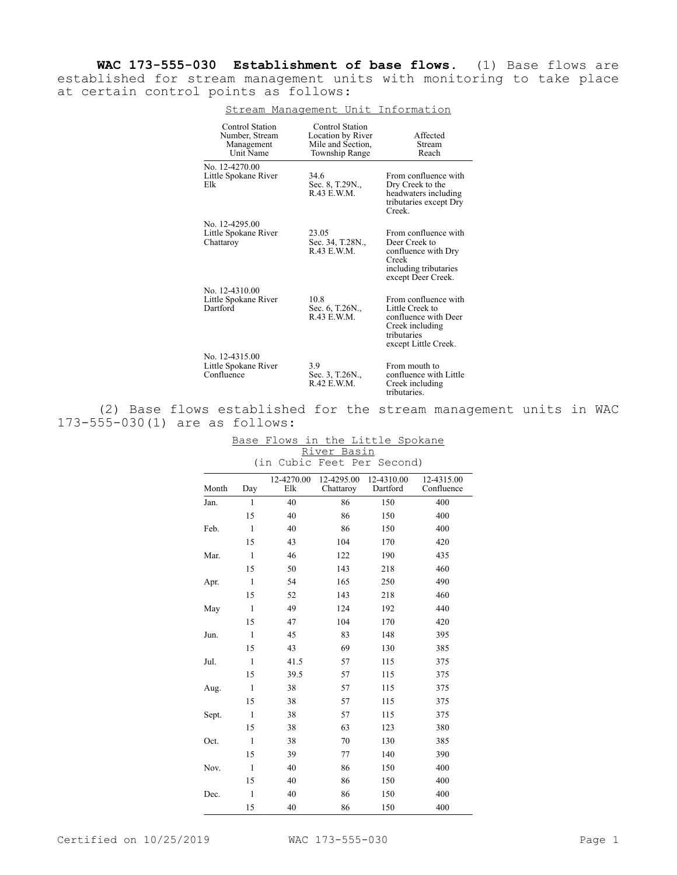**WAC 173-555-030 Establishment of base flows.** (1) Base flows are established for stream management units with monitoring to take place at certain control points as follows:

| Control Station<br>Number, Stream<br>Management<br><b>Unit Name</b> | Control Station<br>Location by River<br>Mile and Section,<br>Township Range | Affected<br>Stream<br>Reach                                                                                               |
|---------------------------------------------------------------------|-----------------------------------------------------------------------------|---------------------------------------------------------------------------------------------------------------------------|
| No. 12-4270.00<br>Little Spokane River<br>Elk                       | 34.6<br>Sec. 8, T.29N.,<br>R.43 E.W.M.                                      | From confluence with<br>Dry Creek to the<br>headwaters including<br>tributaries except Dry<br>Creek.                      |
| No. 12-4295.00<br>Little Spokane River<br>Chattaroy                 | 23.05<br>Sec. 34, T.28N.,<br>R.43 E.W.M.                                    | From confluence with<br>Deer Creek to<br>confluence with Dry<br>Creek<br>including tributaries<br>except Deer Creek.      |
| No. 12-4310.00<br>Little Spokane River<br>Dartford                  | 10.8<br>Sec. 6, T.26N.,<br>R.43 E.W.M.                                      | From confluence with<br>Little Creek to<br>confluence with Deer<br>Creek including<br>tributaries<br>except Little Creek. |
| No. 12-4315.00<br>Little Spokane River<br>Confluence                | 3.9<br>Sec. 3, T.26N.,<br>R.42 E.W.M.                                       | From mouth to<br>confluence with Little<br>Creek including<br>tributaries.                                                |

## Stream Management Unit Information

(2) Base flows established for the stream management units in WAC 173-555-030(1) are as follows:

| 777 A C T<br><u>nas TII</u> |                                     |                   |                         |                        |                          |  |
|-----------------------------|-------------------------------------|-------------------|-------------------------|------------------------|--------------------------|--|
|                             | (in<br>Cubic<br>Feet Per<br>Second) |                   |                         |                        |                          |  |
| Month                       | Day                                 | 12-4270.00<br>Elk | 12-4295.00<br>Chattaroy | 12-4310.00<br>Dartford | 12-4315.00<br>Confluence |  |
| Jan.                        | $\mathbf{1}$                        | 40                | 86                      | 150                    | 400                      |  |
|                             | 15                                  | 40                | 86                      | 150                    | 400                      |  |
| Feb.                        | $\mathbf{1}$                        | 40                | 86                      | 150                    | 400                      |  |
|                             | 15                                  | 43                | 104                     | 170                    | 420                      |  |
| Mar.                        | $\mathbf{1}$                        | 46                | 122                     | 190                    | 435                      |  |
|                             | 15                                  | 50                | 143                     | 218                    | 460                      |  |
| Apr.                        | $\mathbf{1}$                        | 54                | 165                     | 250                    | 490                      |  |
|                             | 15                                  | 52                | 143                     | 218                    | 460                      |  |
| May                         | $\mathbf{1}$                        | 49                | 124                     | 192                    | 440                      |  |
|                             | 15                                  | 47                | 104                     | 170                    | 420                      |  |
| Jun.                        | $\mathbf{1}$                        | 45                | 83                      | 148                    | 395                      |  |
|                             | 15                                  | 43                | 69                      | 130                    | 385                      |  |
| Jul.                        | $\mathbf{1}$                        | 41.5              | 57                      | 115                    | 375                      |  |
|                             | 15                                  | 39.5              | 57                      | 115                    | 375                      |  |
| Aug.                        | $\mathbf{1}$                        | 38                | 57                      | 115                    | 375                      |  |
|                             | 15                                  | 38                | 57                      | 115                    | 375                      |  |
| Sept.                       | $\mathbf{1}$                        | 38                | 57                      | 115                    | 375                      |  |
|                             | 15                                  | 38                | 63                      | 123                    | 380                      |  |
| Oct.                        | $\mathbf{1}$                        | 38                | $70\,$                  | 130                    | 385                      |  |
|                             | 15                                  | 39                | 77                      | 140                    | 390                      |  |
| Nov.                        | $\mathbf{1}$                        | 40                | 86                      | 150                    | 400                      |  |
|                             | 15                                  | 40                | 86                      | 150                    | 400                      |  |
| Dec.                        | $\mathbf{1}$                        | 40                | 86                      | 150                    | 400                      |  |
|                             | 15                                  | 40                | 86                      | 150                    | 400                      |  |

## Base Flows in the Little Spokane River Basin